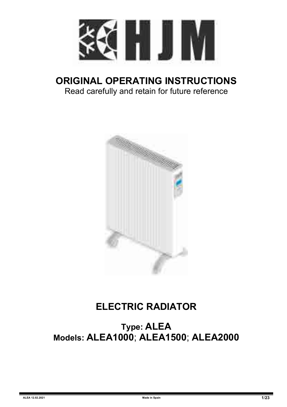

## **ORIGINAL OPERATING INSTRUCTIONS** Read carefully and retain for future reference



# **ELECTRIC RADIATOR**

**Type: ALEA Models: ALEA1000**; **ALEA1500**; **ALEA2000**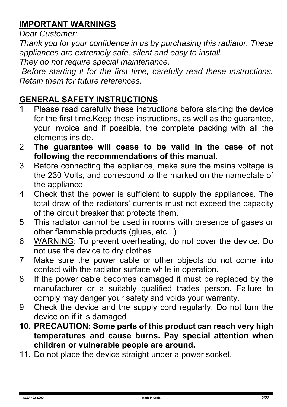#### **IMPORTANT WARNINGS**

*Dear Customer:*

*Thank you for your confidence in us by purchasing this radiator. These appliances are extremely safe, silent and easy to install.*

*They do not require special maintenance.* 

*Before starting it for the first time, carefully read these instructions. Retain them for future references.*

#### **GENERAL SAFETY INSTRUCTIONS**

- Please read carefully these instructions before starting the device for the first time.Keep these instructions, as well as the guarantee, your invoice and if possible, the complete packing with all the elements inside.
- 2. **The guarantee will cease to be valid in the case of not following the recommendations of this manual**.
- 3. Before connecting the appliance, make sure the mains voltage is the 230 Volts, and correspond to the marked on the nameplate of the appliance.
- 4. Check that the power is sufficient to supply the appliances. The total draw of the radiators' currents must not exceed the capacity of the circuit breaker that protects them.
- 5. This radiator cannot be used in rooms with presence of gases or other flammable products (glues, etc...).
- 6. WARNING: To prevent overheating, do not cover the device. Do not use the device to dry clothes.
- 7. Make sure the power cable or other objects do not come into contact with the radiator surface while in operation.
- 8. If the power cable becomes damaged it must be replaced by the manufacturer or a suitably qualified trades person. Failure to comply may danger your safety and voids your warranty.
- 9. Check the device and the supply cord regularly. Do not turn the device on if it is damaged.
- **10. PRECAUTION: Some parts of this product can reach very high temperatures and cause burns. Pay special attention when children or vulnerable people are around.**
- 11. Do not place the device straight under a power socket.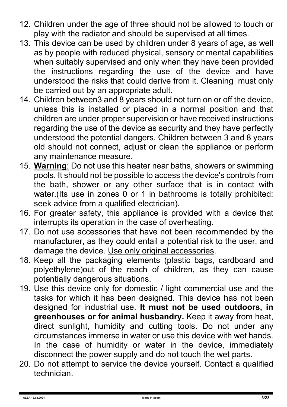- 12. Children under the age of three should not be allowed to touch or play with the radiator and should be supervised at all times.
- 13. This device can be used by children under 8 years of age, as well as by people with reduced physical, sensory or mental capabilities when suitably supervised and only when they have been provided the instructions regarding the use of the device and have understood the risks that could derive from it. Cleaning must only be carried out by an appropriate adult.
- 14. Children between3 and 8 years should not turn on or off the device, unless this is installed or placed in a normal position and that children are under proper supervision or have received instructions regarding the use of the device as security and they have perfectly understood the potential dangers. Children between 3 and 8 years old should not connect, adjust or clean the appliance or perform any maintenance measure.
- 15. **Warning**: Do not use this heater near baths, showers or swimming pools. It should not be possible to access the device's controls from the bath, shower or any other surface that is in contact with water.(Its use in zones 0 or 1 in bathrooms is totally prohibited: seek advice from a qualified electrician).
- 16. For greater safety, this appliance is provided with a device that interrupts its operation in the case of overheating.
- 17. Do not use accessories that have not been recommended by the manufacturer, as they could entail a potential risk to the user, and damage the device. Use only original accessories.
- 18. Keep all the packaging elements (plastic bags, cardboard and polyethylene)out of the reach of children, as they can cause potentially dangerous situations.
- 19. Use this device only for domestic / light commercial use and the tasks for which it has been designed. This device has not been designed for industrial use. **It must not be used outdoors, in greenhouses or for animal husbandry.** Keep it away from heat, direct sunlight, humidity and cutting tools. Do not under any circumstances immerse in water or use this device with wet hands. In the case of humidity or water in the device, immediately disconnect the power supply and do not touch the wet parts.
- 20. Do not attempt to service the device yourself. Contact a qualified technician.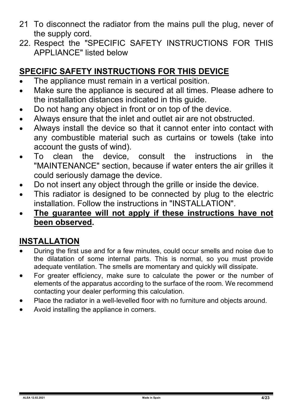- 21 To disconnect the radiator from the mains pull the plug, never of the supply cord.
- 22. Respect the "SPECIFIC SAFETY INSTRUCTIONS FOR THIS APPLIANCE" listed below

#### **SPECIFIC SAFETY INSTRUCTIONS FOR THIS DEVICE**

- The appliance must remain in a vertical position.
- Make sure the appliance is secured at all times. Please adhere to the installation distances indicated in this guide.
- Do not hang any object in front or on top of the device.
- Always ensure that the inlet and outlet air are not obstructed.
- Always install the device so that it cannot enter into contact with any combustible material such as curtains or towels (take into account the gusts of wind).<br>To clean the device.
- device, consult the instructions in the "MAINTENANCE" section, because if water enters the air grilles it could seriously damage the device.
- Do not insert any object through the grille or inside the device.
- This radiator is designed to be connected by plug to the electric installation. Follow the instructions in "INSTALLATION".
- **The guarantee will not apply if these instructions have not been observed.**

#### **INSTALLATION**

- During the first use and for a few minutes, could occur smells and noise due to the dilatation of some internal parts. This is normal, so you must provide adequate ventilation. The smells are momentary and quickly will dissipate.
- For greater efficiency, make sure to calculate the power or the number of elements of the apparatus according to the surface of the room. We recommend contacting your dealer performing this calculation.
- Place the radiator in a well-levelled floor with no furniture and objects around.
- Avoid installing the appliance in corners.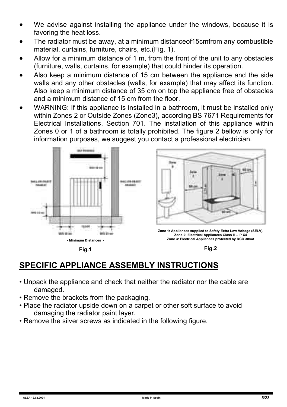- We advise against installing the appliance under the windows, because it is favoring the heat loss.
- The radiator must be away, at a minimum distanceof15cmfrom any combustible material, curtains, furniture, chairs, etc.(Fig. 1).
- Allow for a minimum distance of 1 m, from the front of the unit to any obstacles (furniture, walls, curtains, for example) that could hinder its operation.
- Also keep a minimum distance of 15 cm between the appliance and the side walls and any other obstacles (walls, for example) that may affect its function. Also keep a minimum distance of 35 cm on top the appliance free of obstacles and a minimum distance of 15 cm from the floor.
- WARNING: If this appliance is installed in a bathroom, it must be installed only within Zones 2 or Outside Zones (Zone3), according BS 7671 Requirements for Electrical Installations, Section 701. The installation of this appliance within Zones 0 or 1 of a bathroom is totally prohibited. The figure 2 bellow is only for information purposes, we suggest you contact a professional electrician.



**Fig.1**

**Fig.2**

#### **SPECIFIC APPLIANCE ASSEMBLY INSTRUCTIONS**

- Unpack the appliance and check that neither the radiator nor the cable are damaged.
- Remove the brackets from the packaging.
- Place the radiator upside down on a carpet or other soft surface to avoid damaging the radiator paint layer.
- Remove the silver screws as indicated in the following figure.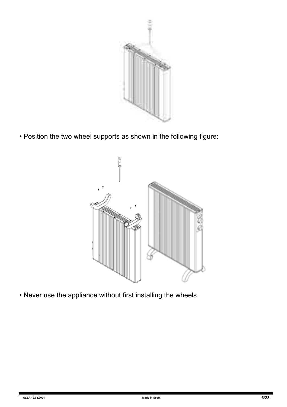

• Position the two wheel supports as shown in the following figure:



• Never use the appliance without first installing the wheels.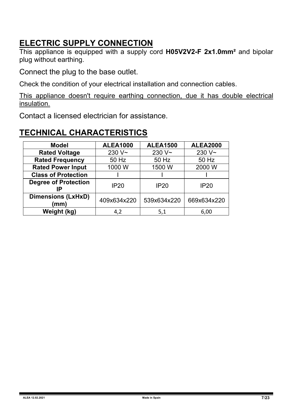#### **ELECTRIC SUPPLY CONNECTION**

This appliance is equipped with a supply cord **H05V2V2-F 2x1.0mm²** and bipolar plug without earthing.

Connect the plug to the base outlet.

Check the condition of your electrical installation and connection cables.

This appliance doesn't require earthing connection, due it has double electrical insulation.

Contact a licensed electrician for assistance.

| <b>Model</b>                      | <b>ALEA1000</b>    | <b>ALEA1500</b> | <b>ALEA2000</b> |
|-----------------------------------|--------------------|-----------------|-----------------|
| <b>Rated Voltage</b>              | 230 V <sub>~</sub> | $230V -$        | $230V -$        |
| <b>Rated Frequency</b>            | 50 Hz              | 50 Hz           | 50 Hz           |
| <b>Rated Power Input</b>          | 1000 W             | 1500 W          | 2000 W          |
| <b>Class of Protection</b>        |                    |                 |                 |
| <b>Degree of Protection</b>       | IP20               | <b>IP20</b>     | <b>IP20</b>     |
| <b>Dimensions (LxHxD)</b><br>(mm) | 409x634x220        | 539x634x220     | 669x634x220     |
| Weight (kg)                       | 4.2                | 5,1             | 6,00            |

#### **TECHNICAL CHARACTERISTICS**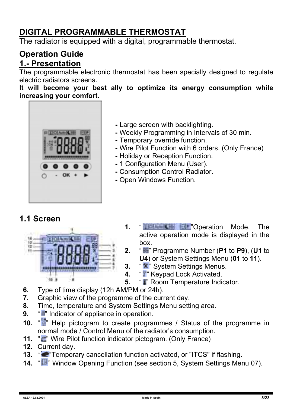#### **DIGITAL PROGRAMMABLE THERMOSTAT**

The radiator is equipped with a digital, programmable thermostat.

#### **Operation Guide 1.- Presentation**

The programmable electronic thermostat has been specially designed to regulate electric radiators screens.

**It will become your best ally to optimize its energy consumption while increasing your comfort.** 



- Large screen with backlighting.
- Weekly Programming in Intervals of 30 min.
- Temporary override function.
- Wire Pilot Function with 6 orders. (Only France)
- Holiday or Reception Function.
- 1 Configuration Menu (User).
- Consumption Control Radiator.
- Open Windows Function.

#### **1.1 Screen**



- **1.** " "Operation Mode. The active operation mode is displayed in the box.
- **2.** " " Programme Number (**P1** to **P9**), (**U1** to **U4**) or System Settings Menu (**01** to **11**).
- **3.** " **\*** " System Settings Menus.
- **4.** "I" Keypad Lock Activated.
- **5.** "I Room Temperature Indicator.
- **6.** Type of time display (12h AM/PM or 24h).
- **7.** Graphic view of the programme of the current day.
- **8.** Time, temperature and System Settings Menu setting area.
- **9.** "Indicator of appliance in operation.
- **10.** "**I** Help pictogram to create programmes / Status of the programme in normal mode / Control Menu of the radiator's consumption.
- **11.** " in Wire Pilot function indicator pictogram. (Only France)
- **12.** Current day.
- **13.** " "Temporary cancellation function activated, or "ITCS" if flashing.
- **14.** " " Window Opening Function (see section 5, System Settings Menu 07).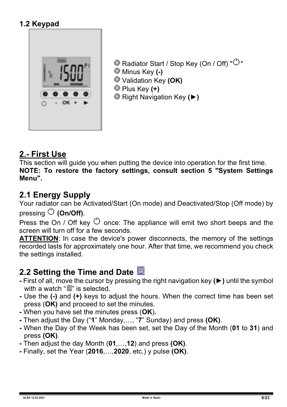#### **1.2 Keypad**



Radiator Start / Stop Key (On / Off) " $\circlearrowright$ " Minus Key **(-)**  Validation Key **(OK)** Plus Key **(+)** Right Navigation Key **(►)**

#### **2.- First Use**

This section will guide you when putting the device into operation for the first time. **NOTE: To restore the factory settings, consult section 5 "System Settings Menu".** 

#### **2.1 Energy Supply**

Your radiator can be Activated/Start (On mode) and Deactivated/Stop (Off mode) by pressing **(On/Off)**.

Press the On / Off key  $\circlearrowright$  once: The appliance will emit two short beeps and the screen will turn off for a few seconds.

**ATTENTION**: In case the device's power disconnects, the memory of the settings recorded lasts for approximately one hour. After that time, we recommend you check the settings installed.

- **2.2 Setting the Time and Date <u>■</u>**<br>- First of all, move the cursor by pressing the right navigation key (▶) until the symbol with a watch " " is selected.
- **-** Use the **(-)** and **(+)** keys to adjust the hours. When the correct time has been set press (**OK)** and proceed to set the minutes.
- **-** When you have set the minutes press (**OK**)**.**
- **-** Then adjust the Day ("**1**" Monday,…, "**7**" Sunday) and press **(OK)**.
- **-** When the Day of the Week has been set, set the Day of the Month (**01** to **31**) and press **(OK)**.
- **-** Then adjust the day Month (**01**,…,**12**) and press **(OK)**.
- **-** Finally, set the Year (**2016**,…,**2020**, etc.) y pulse **(OK)**.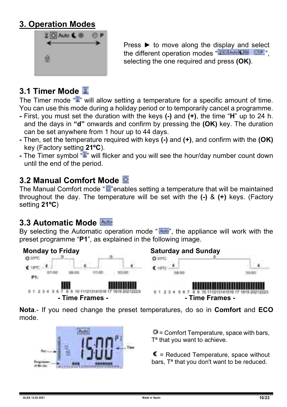#### **3. Operation Modes**



Press **►** to move along the display and select the different operation modes " selecting the one required and press **(OK)**.

## **3.1 Timer Mode**

The Timer mode  $\mathbb{T}^n$  will allow setting a temperature for a specific amount of time. You can use this mode during a holiday period or to temporarily cancel a programme.

- **-** First, you must set the duration with the keys **(-)** and **(+)**, the time "**H**" up to 24 h. and the days in **"d"** onwards and confirm by pressing the **(OK)** key. The duration can be set anywhere from 1 hour up to 44 days.
- **-** Then, set the temperature required with keys **(-)** and **(+)**, and confirm with the **(OK)** key (Factory setting **21ºC**).
- **-** The Timer symbol " " will flicker and you will see the hour/day number count down until the end of the period.

#### **3.2 Manual Comfort Mode**

The Manual Comfort mode " $\overline{Q}$ " enables setting a temperature that will be maintained throughout the day. The temperature will be set with the **(-)** & **(+)** keys. (Factory setting **21ºC**)

#### **3.3 Automatic Mode**

By selecting the Automatic operation mode " $\frac{\text{Area}}{\text{Area}}$ ", the appliance will work with the preset programme "**P1**", as explained in the following image.



**Nota**.- If you need change the preset temperatures, do so in **Comfort** and **ECO** mode.



 $\ddot{\mathbf{u}}$  = Comfort Temperature, space with bars, T<sup>a</sup> that you want to achieve.

 $\blacksquare$  = Reduced Temperature, space without bars, Tª that you don't want to be reduced.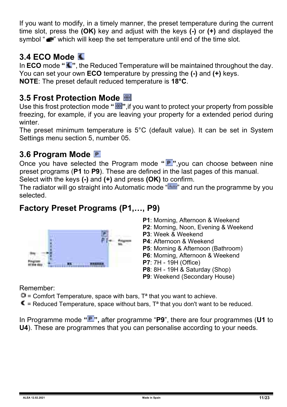If you want to modify, in a timely manner, the preset temperature during the current time slot, press the **(OK)** key and adjust with the keys **(-)** or **(+)** and displayed the symbol "" which will keep the set temperature until end of the time slot.

#### **3.4 ECO Mode**

In **ECO** mode "<sup>"</sup>, the Reduced Temperature will be maintained throughout the day. You can set your own **ECO** temperature by pressing the **(-)** and **(+)** keys. **NOTE**: The preset default reduced temperature is **18°C**.

#### **3.5 Frost Protection Mode**

Use this frost protection mode "**E"**, if you want to protect your property from possible freezing, for example, if you are leaving your property for a extended period during winter.

The preset minimum temperature is 5°C (default value). It can be set in System Settings menu section 5, number 05.

#### **3.6 Program Mode**

Once you have selected the Program mode **" "**,you can choose between nine preset programs (**P1** to **P9**). These are defined in the last pages of this manual.

Select with the keys **(-)** and **(+)** and press **(OK)** to confirm.

The radiator will go straight into Automatic mode " " and run the programme by you selected.

#### **Factory Preset Programs (P1,…, P9)**



- **P1**: Morning, Afternoon & Weekend
- **P2**: Morning, Noon, Evening & Weekend
- **P3**: Week & Weekend
- **P4**: Afternoon & Weekend
- **P5**: Morning & Afternoon (Bathroom)
- **P6**: Morning, Afternoon & Weekend
- **P7**: 7H 19H (Office)
- **P8**: 8H 19H & Saturday (Shop)
- **P9**: Weekend (Secondary House)

Remember:

 $\ddot{\mathbf{\Box}}$  = Comfort Temperature, space with bars, T<sup>a</sup> that you want to achieve.

 $\blacksquare$  = Reduced Temperature, space without bars,  $T^a$  that you don't want to be reduced.

In Programme mode **" ",** after programme "**P9**", there are four programmes (**U1** to **U4**). These are programmes that you can personalise according to your needs.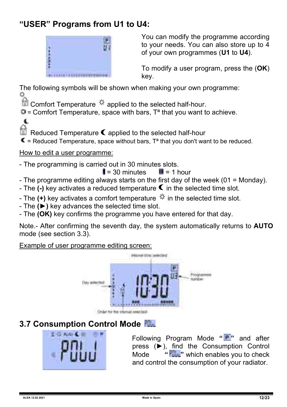#### **"USER" Programs from U1 to U4:**



You can modify the programme according to your needs. You can also store up to 4 of your own programmes (**U1** to **U4**).

To modify a user program, press the (**OK**) key.

The following symbols will be shown when making your own programme:

Comfort Temperature  $\frac{1}{N}$  applied to the selected half-hour.

 $\Phi$  = Comfort Temperature, space with bars. T<sup>a</sup> that you want to achieve.

Reduced Temperature  $\epsilon$  applied to the selected half-hour

 $\blacksquare$  = Reduced Temperature, space without bars,  $T^a$  that you don't want to be reduced.

#### How to edit a user programme:

 $\epsilon$ 

- The programming is carried out in 30 minutes slots.

 $\parallel$  = 30 minutes  $\parallel$  = 1 hour

- The programme editing always starts on the first day of the week (01 = Monday).
- The  $\overline{(-)}$  key activates a reduced temperature  $\overline{(-)}$  in the selected time slot.
- The (+) key activates a comfort temperature  $\ddot{\mathcal{F}}$  in the selected time slot.
- The **(►)** key advances the selected time slot.
- The **(OK)** key confirms the programme you have entered for that day.

Note.- After confirming the seventh day, the system automatically returns to **AUTO** mode (see section 3.3).

Example of user programme editing screen:



#### **3.7 Consumption Control Mode**



Following Program Mode **" "** and after press (►), find the Consumption Control Mode **" "** which enables you to check and control the consumption of your radiator.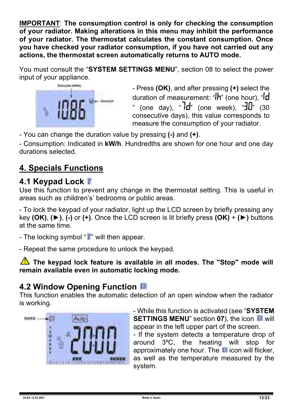**IMPORTANT**: **The consumption control is only for checking the consumption of your radiator. Making alterations in this menu may inhibit the performance of your radiator. The thermostat calculates the constant consumption. Once you have checked your radiator consumption, if you have not carried out any actions, the thermostat screen automatically returns to AUTO mode.** 

You must consult the "**SYSTEM SETTINGS MENU**", section 08 to select the power input of your appliance.



- Press **(OK)**, and after pressing **(+)** select the duration of measurement: " $\mathsf{h}$ " (one hour), " $\mathsf{d}$ (one day), " $\overline{d}$ " (one week), " $\overline{d}$ " (30 consecutive days), this value corresponds to measure the consumption of your radiator.

- You can change the duration value by pressing **(-)** and **(+)**.

- Consumption: Indicated in **kW/h**. Hundredths are shown for one hour and one day durations selected.

### **4. Specials Functions**

#### **4.1 Keypad Lock**

Use this function to prevent any change in the thermostat setting. This is useful in areas such as children's' bedrooms or public areas.

- To lock the keypad of your radiator, light up the LCD screen by briefly pressing any key **(OK)**, **(►)**, **(-)** or **(+)**. Once the LCD screen is lit briefly press **(OK)** + **(►)** buttons at the same time.

- The locking symbol "**I**" will then appear.

- Repeat the same procedure to unlock the keypad.

**The keypad lock feature is available in all modes. The "Stop" mode will remain available even in automatic locking mode.**

#### **4.2 Window Opening Function**

This function enables the automatic detection of an open window when the radiator is working.



- While this function is activated (see "**SYSTEM SETTINGS MENU**" section 07), the icon **III** will appear in the left upper part of the screen.

- If the system detects a temperature drop of around 3ºC, the heating will stop for approximately one hour. The  $\blacksquare$  icon will flicker, as well as the temperature measured by the system.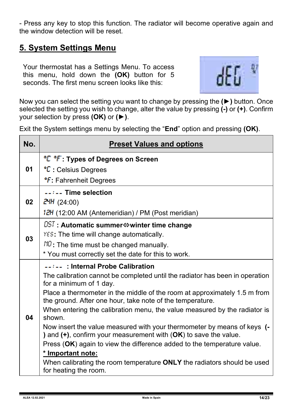- Press any key to stop this function. The radiator will become operative again and the window detection will be reset.

#### **5. System Settings Menu**

Your thermostat has a Settings Menu. To access this menu, hold down the **(OK)** button for 5 seconds. The first menu screen looks like this:



Now you can select the setting you want to change by pressing the **(►)** button. Once selected the setting you wish to change, alter the value by pressing **(-)** or **(+)**. Confirm your selection by press **(OK)** or **(►)**.

Exit the System settings menu by selecting the "**End**" option and pressing **(OK)**.

| No. | <b>Preset Values and options</b>                                                                                                                                                                                                                                                                                                                                                                                                                                                                                                                                                                                                                                                                                                       |
|-----|----------------------------------------------------------------------------------------------------------------------------------------------------------------------------------------------------------------------------------------------------------------------------------------------------------------------------------------------------------------------------------------------------------------------------------------------------------------------------------------------------------------------------------------------------------------------------------------------------------------------------------------------------------------------------------------------------------------------------------------|
| 01  | <sup>•</sup> C <sup>•</sup> F: Types of Degrees on Screen<br>°C : Celsius Degrees                                                                                                                                                                                                                                                                                                                                                                                                                                                                                                                                                                                                                                                      |
|     | <b><i>C</i></b> : Fahrenheit Degrees                                                                                                                                                                                                                                                                                                                                                                                                                                                                                                                                                                                                                                                                                                   |
| 02  | --:-- Time selection<br>24H (24:00)<br>12H (12:00 AM (Antemeridian) / PM (Post meridian)                                                                                                                                                                                                                                                                                                                                                                                                                                                                                                                                                                                                                                               |
| 03  | $\overline{\text{DST}}$ : Automatic summer $\Leftrightarrow$ winter time change<br>YES: The time will change automatically.<br>$NQ$ : The time must be changed manually.<br>* You must correctly set the date for this to work.                                                                                                                                                                                                                                                                                                                                                                                                                                                                                                        |
| 04  | --:-- : Internal Probe Calibration<br>The calibration cannot be completed until the radiator has been in operation<br>for a minimum of 1 day.<br>Place a thermometer in the middle of the room at approximately 1.5 m from<br>the ground. After one hour, take note of the temperature.<br>When entering the calibration menu, the value measured by the radiator is<br>shown.<br>Now insert the value measured with your thermometer by means of keys (-<br>) and $(+)$ , confirm your measurement with $(OK)$ to save the value.<br>Press (OK) again to view the difference added to the temperature value.<br>* Important note:<br>When calibrating the room temperature ONLY the radiators should be used<br>for heating the room. |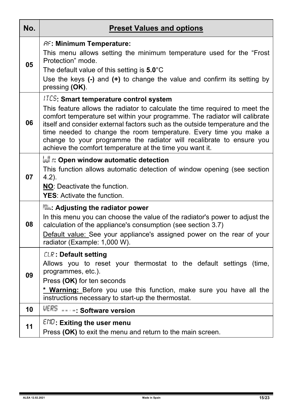| No. | <b>Preset Values and options</b>                                                                                                                                                                                                                                                                                                                                                                                                                                                                    |
|-----|-----------------------------------------------------------------------------------------------------------------------------------------------------------------------------------------------------------------------------------------------------------------------------------------------------------------------------------------------------------------------------------------------------------------------------------------------------------------------------------------------------|
| 05  | <b>AF: Minimum Temperature:</b><br>This menu allows setting the minimum temperature used for the "Frost<br>Protection" mode.<br>The default value of this setting is 5.0°C<br>Use the keys $(-)$ and $(+)$ to change the value and confirm its setting by<br>pressing (OK).                                                                                                                                                                                                                         |
| 06  | <b>ITCS:</b> Smart temperature control system<br>This feature allows the radiator to calculate the time required to meet the<br>comfort temperature set within your programme. The radiator will calibrate<br>itself and consider external factors such as the outside temperature and the<br>time needed to change the room temperature. Every time you make a<br>change to your programme the radiator will recalibrate to ensure you<br>achieve the comfort temperature at the time you want it. |
| 07  | եսե՛ ո: Open window automatic detection<br>This function allows automatic detection of window opening (see section<br>$4.2$ ).<br>NO: Deactivate the function.<br><b>YES:</b> Activate the function.                                                                                                                                                                                                                                                                                                |
| 08  | <b>Rile: Adjusting the radiator power</b><br>In this menu you can choose the value of the radiator's power to adjust the<br>calculation of the appliance's consumption (see section 3.7)<br>Default value: See your appliance's assigned power on the rear of your<br>radiator (Example: 1,000 W).                                                                                                                                                                                                  |
| 09  | <b>CLR: Default setting</b><br>Allows you to reset your thermostat to the default settings (time,<br>programmes, etc.).<br>Press (OK) for ten seconds<br>* Warning: Before you use this function, make sure you have all the<br>instructions necessary to start-up the thermostat.                                                                                                                                                                                                                  |
| 10  | VERS ----: Software version                                                                                                                                                                                                                                                                                                                                                                                                                                                                         |
| 11  | $END$ : Exiting the user menu<br>Press (OK) to exit the menu and return to the main screen.                                                                                                                                                                                                                                                                                                                                                                                                         |

f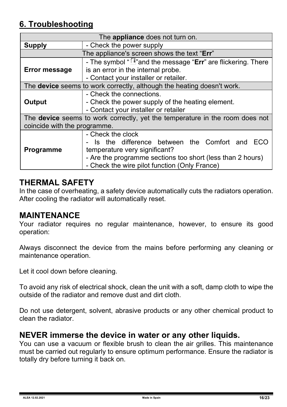#### **6. Troubleshooting**

| The <b>appliance</b> does not turn on.                                              |                                                                        |  |  |  |  |  |
|-------------------------------------------------------------------------------------|------------------------------------------------------------------------|--|--|--|--|--|
| Supply                                                                              | - Check the power supply                                               |  |  |  |  |  |
|                                                                                     | The appliance's screen shows the text "Err"                            |  |  |  |  |  |
| - The symbol " $\sqrt{2}$ " and the message "Err" are flickering. There             |                                                                        |  |  |  |  |  |
| <b>Error message</b>                                                                | is an error in the internal probe.                                     |  |  |  |  |  |
|                                                                                     | - Contact your installer or retailer.                                  |  |  |  |  |  |
|                                                                                     | The device seems to work correctly, although the heating doesn't work. |  |  |  |  |  |
|                                                                                     | - Check the connections.                                               |  |  |  |  |  |
| Output                                                                              | - Check the power supply of the heating element.                       |  |  |  |  |  |
|                                                                                     | - Contact your installer or retailer                                   |  |  |  |  |  |
| The <b>device</b> seems to work correctly, yet the temperature in the room does not |                                                                        |  |  |  |  |  |
| coincide with the programme.                                                        |                                                                        |  |  |  |  |  |
|                                                                                     | - Check the clock                                                      |  |  |  |  |  |
|                                                                                     | - Is the difference between the Comfort and ECO                        |  |  |  |  |  |
| <b>Programme</b>                                                                    | temperature very significant?                                          |  |  |  |  |  |
|                                                                                     | - Are the programme sections too short (less than 2 hours)             |  |  |  |  |  |
| - Check the wire pilot function (Only France)                                       |                                                                        |  |  |  |  |  |

#### **THERMAL SAFETY**

In the case of overheating, a safety device automatically cuts the radiators operation. After cooling the radiator will automatically reset.

#### **MAINTENANCE**

Your radiator requires no regular maintenance, however, to ensure its good operation:

Always disconnect the device from the mains before performing any cleaning or maintenance operation.

Let it cool down before cleaning.

To avoid any risk of electrical shock, clean the unit with a soft, damp cloth to wipe the outside of the radiator and remove dust and dirt cloth.

Do not use detergent, solvent, abrasive products or any other chemical product to clean the radiator.

#### **NEVER immerse the device in water or any other liquids.**

You can use a vacuum or flexible brush to clean the air grilles. This maintenance must be carried out regularly to ensure optimum performance. Ensure the radiator is totally dry before turning it back on.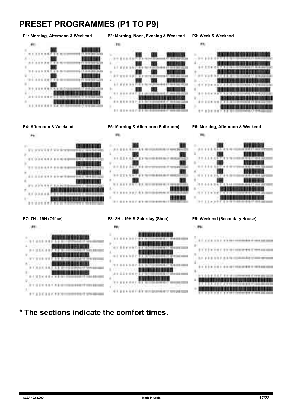#### **PRESET PROGRAMMES (P1 TO P9)**



**\* The sections indicate the comfort times.**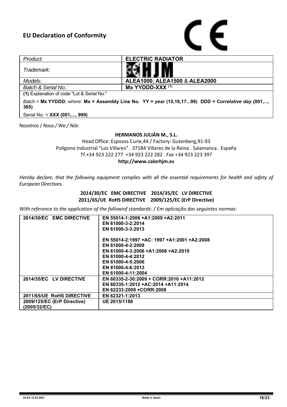

| Product:                                                                                                    | <b>ELECTRIC RADIATOR</b>      |  |  |  |  |
|-------------------------------------------------------------------------------------------------------------|-------------------------------|--|--|--|--|
| Trademark:                                                                                                  |                               |  |  |  |  |
| Models:                                                                                                     | ALEA1000: ALEA1500 & ALEA2000 |  |  |  |  |
| Batch & Serial No.:                                                                                         | Mx YYDDD-XXX (1)              |  |  |  |  |
| (1) Explanation of code "Lot & Serial No."                                                                  |                               |  |  |  |  |
| Batch = Mx YYDDD; where: Mx = Assembly Line No. YY = year (15,16,1799) DDD = Correlative day (001,,<br>365) |                               |  |  |  |  |
| Serial No. = XXX (001,, 999)                                                                                |                               |  |  |  |  |

Nosotros / *Nous / We / Nós*:

#### **HERMANOS JULIÁN M., S.L.**

Head Office: Esposos Curie,44 / Factory: Gutenberg,91-93 Polígono Industrial "Los Villares" . 37184 Villares de la Reina . Salamanca . España Tf.+34 923 222 277 +34 923 222 282 . Fax +34 923 223 397 **http://www.calorhjm.es**

*Hereby declare, that the following equipment complies with all the essential requirements for health and safety of European Directives.*

#### **2014/30/EC EMC DIRECTIVE 2014/35/EC LV DIRECTIVE 2011/65/UE RoHS DIRECTIVE 2009/125/EC (ErP Directive)**

*With reference to the application of the followinf standards: / Em aplicação das seguintes normas:*

| 2014/30/EC EMC DIRECTIVE    | EN 55014-1:2006 +A1:2009 +A2:2011           |
|-----------------------------|---------------------------------------------|
|                             | EN 61000-3-2:2014                           |
|                             | EN 61000-3-3:2013                           |
|                             |                                             |
|                             | EN 55014-2:1997 +AC: 1997 +A1:2001 +A2:2008 |
|                             | EN 61000-4-2:2009                           |
|                             | EN 61000-4-3:2006 +A1:2008 +A2:2010         |
|                             | EN 61000-4-4:2012                           |
|                             | EN 61000-4-5:2006                           |
|                             | EN 61000-4-6:2013                           |
|                             | EN 61000-4-11:2004                          |
| 2014/35/EC LV DIRECTIVE     | EN 60335-2-30:2009 + CORR:2010 +A11:2012    |
|                             | EN 60335-1:2012 +AC:2014 +A11:2014          |
|                             | EN 62233:2008 +CORR:2008                    |
| 2011/65/UE RoHS DIRECTIVE   | EN 62321-1:2013                             |
| 2009/125/EC (ErP Directive) | UE 2015/1188                                |
| (2005/32/EC)                |                                             |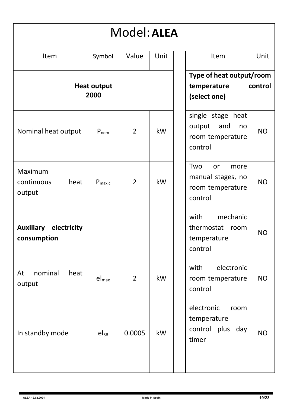| Model: ALEA                                 |                    |                |                                                                    |                                                                                           |  |  |
|---------------------------------------------|--------------------|----------------|--------------------------------------------------------------------|-------------------------------------------------------------------------------------------|--|--|
| Item                                        | Symbol             | Value          | Unit                                                               | Unit<br>Item                                                                              |  |  |
| <b>Heat output</b><br>2000                  |                    |                | Type of heat output/room<br>temperature<br>control<br>(select one) |                                                                                           |  |  |
| Nominal heat output                         | $P_{nom}$          | $\overline{2}$ | kW                                                                 | single stage heat<br>output<br>and<br>no<br>N <sub>O</sub><br>room temperature<br>control |  |  |
| Maximum<br>continuous<br>heat<br>output     | $P_{\text{max.c}}$ | $\overline{2}$ | kW                                                                 | Two<br>or<br>more<br>manual stages, no<br><b>NO</b><br>room temperature<br>control        |  |  |
| <b>Auxiliary electricity</b><br>consumption |                    |                |                                                                    | with<br>mechanic<br>thermostat<br>room<br><b>NO</b><br>temperature<br>control             |  |  |
| nominal<br>At<br>heat<br>output             | $el_{max}$         | $\overline{2}$ | kW                                                                 | electronic<br>with<br>NO.<br>room temperature<br>control                                  |  |  |
| In standby mode                             | el <sub>sB</sub>   | 0.0005         | kW                                                                 | electronic<br>room<br>temperature<br>control plus day<br><b>NO</b><br>timer               |  |  |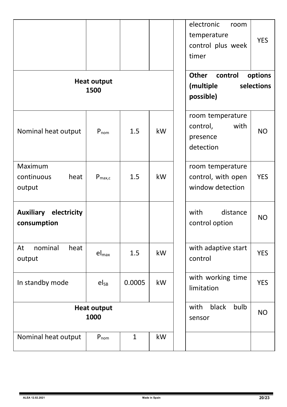|                                                | <b>Heat output</b><br>1500 |              |                                 | electronic<br>room<br>temperature<br>control plus week<br>timer<br>Other<br>control<br>(multiple<br>possible) | <b>YES</b><br>options<br>selections |
|------------------------------------------------|----------------------------|--------------|---------------------------------|---------------------------------------------------------------------------------------------------------------|-------------------------------------|
| Nominal heat output                            | $P_{nom}$                  | 1.5          | kW                              | room temperature<br>with<br>control,<br>presence<br>detection                                                 | NO                                  |
| Maximum<br>continuous<br>heat<br>output        | $P_{\text{max},c}$         | 1.5          | kW                              | room temperature<br>control, with open<br>window detection                                                    | <b>YES</b>                          |
| electricity<br><b>Auxiliary</b><br>consumption |                            |              |                                 | with<br>distance<br>control option                                                                            | <b>NO</b>                           |
| nominal<br>heat<br>At<br>output                | $el_{max}$                 | 1.5          | kW                              | with adaptive start<br>control                                                                                | <b>YES</b>                          |
| In standby mode                                | $eI_{SB}$                  | 0.0005       | kW                              | with working time<br>limitation                                                                               | <b>YES</b>                          |
| <b>Heat output</b><br>1000                     |                            |              | black<br>bulb<br>with<br>sensor | <b>NO</b>                                                                                                     |                                     |
| Nominal heat output                            | $P_{nom}$                  | $\mathbf{1}$ | kW                              |                                                                                                               |                                     |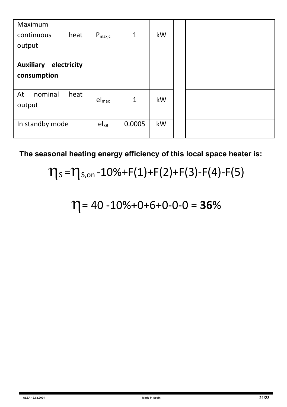| Maximum<br>heat<br>continuous<br>output        | $P_{\text{max},c}$ | $\mathbf{1}$ | kW |  |  |
|------------------------------------------------|--------------------|--------------|----|--|--|
| electricity<br><b>Auxiliary</b><br>consumption |                    |              |    |  |  |
| nominal<br>At<br>heat<br>output                | $el_{\text{max}}$  | $\mathbf{1}$ | kW |  |  |
| In standby mode                                | $el_{SB}$          | 0.0005       | kW |  |  |

**The seasonal heating energy efficiency of this local space heater is:**

# $\eta_s = \eta_{s,on} - 10\% + F(1) + F(2) + F(3) - F(4) - F(5)$

 $\eta$  = 40 -10%+0+6+0-0-0 = **36**%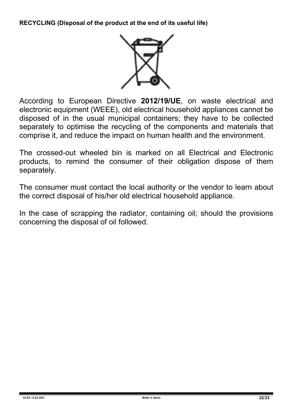**RECYCLING (Disposal of the product at the end of its useful life)**



According to European Directive **2012/19/UE**, on waste electrical and electronic equipment (WEEE), old electrical household appliances cannot be disposed of in the usual municipal containers; they have to be collected separately to optimise the recycling of the components and materials that comprise it, and reduce the impact on human health and the environment.

The crossed-out wheeled bin is marked on all Electrical and Electronic products, to remind the consumer of their obligation dispose of them separately.

The consumer must contact the local authority or the vendor to learn about the correct disposal of his/her old electrical household appliance.

In the case of scrapping the radiator, containing oil; should the provisions concerning the disposal of oil followed.